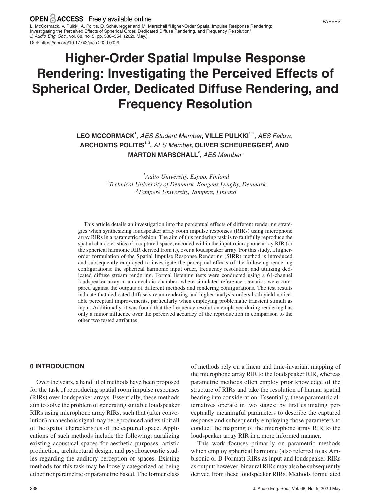L. McCormack, V. Pulkki, A. Politis, O. Scheuregger and M. Marschall "Higher-Order Spatial Impulse Response Rendering: Investigating the Perceived Effects of Spherical Order, Dedicated Diffuse Rendering, and Frequency Resolution" *J. Audio Eng. Soc.*, vol. 68, no. 5, pp. 338–354, (2020 May.). DOI: https://doi.org/10.17743/jaes.2020.0026

# **Higher-Order Spatial Impulse Response Rendering: Investigating the Perceived Effects of Spherical Order, Dedicated Diffuse Rendering, and Frequency Resolution**

## **LEO MCCORMACK1 ,** *AES Student Member***, VILLE PULKKI<sup>1</sup>***,* **<sup>2</sup> ,** *AES Fellow***,**  $A$ **RCHONTIS POLITIS<sup>1,3</sup>, AES Member, OLIVER SCHEUREGGER<sup>2</sup>, AND MARTON MARSCHALL2 ,** *AES Member*

*1Aalto University, Espoo, Finland 2Technical University of Denmark, Kongens Lyngby, Denmark 3Tampere University, Tampere, Finland*

This article details an investigation into the perceptual effects of different rendering strategies when synthesizing loudspeaker array room impulse responses (RIRs) using microphone array RIRs in a parametric fashion. The aim of this rendering task is to faithfully reproduce the spatial characteristics of a captured space, encoded within the input microphone array RIR (or the spherical harmonic RIR derived from it), over a loudspeaker array. For this study, a higherorder formulation of the Spatial Impulse Response Rendering (SIRR) method is introduced and subsequently employed to investigate the perceptual effects of the following rendering configurations: the spherical harmonic input order, frequency resolution, and utilizing dedicated diffuse stream rendering. Formal listening tests were conducted using a 64-channel loudspeaker array in an anechoic chamber, where simulated reference scenarios were compared against the outputs of different methods and rendering configurations. The test results indicate that dedicated diffuse stream rendering and higher analysis orders both yield noticeable perceptual improvements, particularly when employing problematic transient stimuli as input. Additionally, it was found that the frequency resolution employed during rendering has only a minor influence over the perceived accuracy of the reproduction in comparison to the other two tested attributes.

## **0 INTRODUCTION**

Over the years, a handful of methods have been proposed for the task of reproducing spatial room impulse responses (RIRs) over loudspeaker arrays. Essentially, these methods aim to solve the problem of generating suitable loudspeaker RIRs using microphone array RIRs, such that (after convolution) an anechoic signal may be reproduced and exhibit all of the spatial characteristics of the captured space. Applications of such methods include the following: auralizing existing acoustical spaces for aesthetic purposes, artistic production, architectural design, and psychoacoustic studies regarding the auditory perception of spaces. Existing methods for this task may be loosely categorized as being either nonparametric or parametric based. The former class

response and subsequently employing those parameters to conduct the mapping of the microphone array RIR to the loudspeaker array RIR in a more informed manner. This work focuses primarily on parametric methods which employ spherical harmonic (also referred to as Ambisonic or B-Format) RIRs as input and loudspeaker RIRs as output; however, binaural RIRs may also be subsequently

of methods rely on a linear and time-invariant mapping of the microphone array RIR to the loudspeaker RIR, whereas parametric methods often employ prior knowledge of the structure of RIRs and take the resolution of human spatial hearing into consideration. Essentially, these parametric alternatives operate in two stages: by first estimating perceptually meaningful parameters to describe the captured

derived from these loudspeaker RIRs. Methods formulated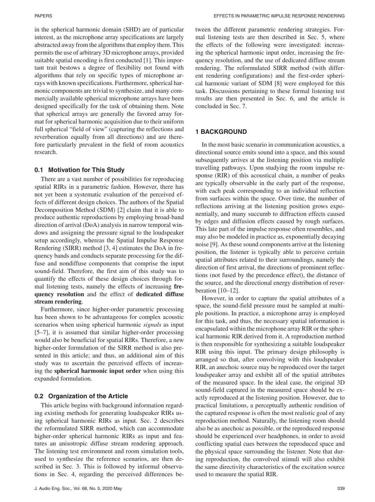in the spherical harmonic domain (SHD) are of particular interest, as the microphone array specifications are largely abstracted away from the algorithms that employ them. This permits the use of arbitrary 3D microphone arrays, provided suitable spatial encoding is first conducted [1]. This important trait bestows a degree of flexibility not found with algorithms that rely on specific types of microphone arrays with known specifications. Furthermore, spherical harmonic components are trivial to synthesize, and many commercially available spherical microphone arrays have been designed specifically for the task of obtaining them. Note that spherical arrays are generally the favored array format for spherical harmonic acquisition due to their uniform full spherical "field of view" (capturing the reflections and reverberation equally from all directions) and are therefore particularly prevalent in the field of room acoustics research.

## **0.1 Motivation for This Study**

There are a vast number of possibilities for reproducing spatial RIRs in a parametric fashion. However, there has not yet been a systematic evaluation of the perceived effects of different design choices. The authors of the Spatial Decomposition Method (SDM) [2] claim that it is able to produce authentic reproductions by employing broad-band direction of arrival (DoA) analysis in narrow temporal windows and assigning the pressure signal to the loudspeaker setup accordingly, whereas the Spatial Impulse Response Rendering (SIRR) method [3, 4] estimates the DoA in frequency bands and conducts separate processing for the diffuse and nondiffuse components that comprise the input sound-field. Therefore, the first aim of this study was to quantify the effects of these design choices through formal listening tests, namely the effects of increasing **frequency resolution** and the effect of **dedicated diffuse stream rendering**.

Furthermore, since higher-order parametric processing has been shown to be advantageous for complex acoustic scenarios when using spherical harmonic *signals* as input [5–7], it is assumed that similar higher-order processing would also be beneficial for spatial RIRs. Therefore, a new higher-order formulation of the SIRR method is also presented in this article; and thus, an additional aim of this study was to ascertain the perceived effects of increasing the **spherical harmonic input order** when using this expanded formulation.

## **0.2 Organization of the Article**

This article begins with background information regarding existing methods for generating loudspeaker RIRs using spherical harmonic RIRs as input. Sec. 2 describes the reformulated SIRR method, which can accommodate higher-order spherical harmonic RIRs as input and features an anisotropic diffuse stream rendering approach. The listening test environment and room simulation tools, used to synthesize the reference scenarios, are then described in Sec. 3. This is followed by informal observations in Sec. 4, regarding the perceived differences between the different parametric rendering strategies. Formal listening tests are then described in Sec. 5, where the effects of the following were investigated: increasing the spherical harmonic input order, increasing the frequency resolution, and the use of dedicated diffuse stream rendering. The reformulated SIRR method (with different rendering configurations) and the first-order spherical harmonic variant of SDM [8] were employed for this task. Discussions pertaining to these formal listening test results are then presented in Sec. 6, and the article is concluded in Sec. 7.

## **1 BACKGROUND**

In the most basic scenario in communication acoustics, a directional source emits sound into a space, and this sound subsequently arrives at the listening position via multiple travelling pathways. Upon studying the room impulse response (RIR) of this acoustical chain, a number of peaks are typically observable in the early part of the response, with each peak corresponding to an individual reflection from surfaces within the space. Over time, the number of reflections arriving at the listening position grows exponentially, and many succumb to diffraction effects caused by edges and diffusion effects caused by rough surfaces. This late part of the impulse response often resembles, and may also be modeled in practice as, exponentially decaying noise [9]. As these sound components arrive at the listening position, the listener is typically able to perceive certain spatial attributes related to their surroundings, namely the direction of first arrival, the directions of prominent reflections (not fused by the precedence effect), the distance of the source, and the directional energy distribution of reverberation  $[10-12]$ .

However, in order to capture the spatial attributes of a space, the sound-field pressure must be sampled at multiple positions. In practice, a microphone array is employed for this task, and thus, the necessary spatial information is encapsulated within the microphone array RIR or the spherical harmonic RIR derived from it. A reproduction method is then responsible for synthesizing a suitable loudspeaker RIR using this input. The primary design philosophy is arranged so that, after convolving with this loudspeaker RIR, an anechoic source may be reproduced over the target loudspeaker array and exhibit all of the spatial attributes of the measured space. In the ideal case, the original 3D sound-field captured in the measured space should be exactly reproduced at the listening position. However, due to practical limitations, a perceptually authentic rendition of the captured response is often the most realistic goal of any reproduction method. Naturally, the listening room should also be as anechoic as possible, or the reproduced response should be experienced over headphones, in order to avoid conflicting spatial cues between the reproduced space and the physical space surrounding the listener. Note that during reproduction, the convolved stimuli will also exhibit the same directivity characteristics of the excitation source used to measure the spatial RIR.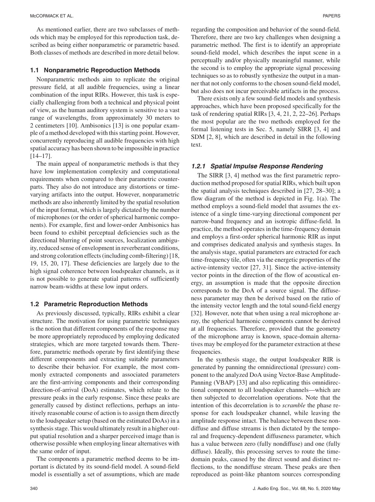As mentioned earlier, there are two subclasses of methods which may be employed for this reproduction task, described as being either nonparametric or parametric based. Both classes of methods are described in more detail below.

#### **1.1 Nonparametric Reproduction Methods**

Nonparametric methods aim to replicate the original pressure field, at all audible frequencies, using a linear combination of the input RIRs. However, this task is especially challenging from both a technical and physical point of view, as the human auditory system is sensitive to a vast range of wavelengths, from approximately 30 meters to 2 centimeters [10]. Ambisonics [13] is one popular example of a method developed with this starting point. However, concurrently reproducing all audible frequencies with high spatial accuracy has been shown to be impossible in practice [14–17].

The main appeal of nonparametric methods is that they have low implementation complexity and computational requirements when compared to their parametric counterparts. They also do not introduce any distortions or timevarying artifacts into the output. However, nonparametric methods are also inherently limited by the spatial resolution of the input format, which is largely dictated by the number of microphones (or the order of spherical harmonic components). For example, first and lower-order Ambisonics has been found to exhibit perceptual deficiencies such as the directional blurring of point sources, localization ambiguity, reduced sense of envelopment in reverberant conditions, and strong coloration effects (including comb-filtering) [18, 19, 15, 20, 17]. These deficiencies are largely due to the high signal coherence between loudspeaker channels, as it is not possible to generate spatial patterns of sufficiently narrow beam-widths at these low input orders.

#### **1.2 Parametric Reproduction Methods**

As previously discussed, typically, RIRs exhibit a clear structure. The motivation for using parametric techniques is the notion that different components of the response may be more appropriately reproduced by employing dedicated strategies, which are more targeted towards them. Therefore, parametric methods operate by first identifying these different components and extracting suitable parameters to describe their behavior. For example, the most commonly extracted components and associated parameters are the first-arriving components and their corresponding direction-of-arrival (DoA) estimates, which relate to the pressure peaks in the early response. Since these peaks are generally caused by distinct reflections, perhaps an intuitively reasonable course of action is to assign them directly to the loudspeaker setup (based on the estimated DoAs) in a synthesis stage. This would ultimately result in a higher output spatial resolution and a sharper perceived image than is otherwise possible when employing linear alternatives with the same order of input.

The components a parametric method deems to be important is dictated by its sound-field model. A sound-field model is essentially a set of assumptions, which are made

regarding the composition and behavior of the sound-field. Therefore, there are two key challenges when designing a parametric method. The first is to identify an appropriate sound-field model, which describes the input scene in a perceptually and/or physically meaningful manner, while the second is to employ the appropriate signal processing techniques so as to robustly synthesize the output in a manner that not only conforms to the chosen sound-field model, but also does not incur perceivable artifacts in the process.

There exists only a few sound-field models and synthesis approaches, which have been proposed specifically for the task of rendering spatial RIRs [3, 4, 21, 2, 22–26]. Perhaps the most popular are the two methods employed for the formal listening tests in Sec. 5, namely SIRR [3, 4] and SDM [2, 8], which are described in detail in the following text.

## *1.2.1 Spatial Impulse Response Rendering*

The SIRR [3, 4] method was the first parametric reproduction method proposed for spatial RIRs, which built upon the spatial analysis techniques described in [27, 28–30]; a flow diagram of the method is depicted in Fig. 1(a). The method employs a sound-field model that assumes the existence of a single time-varying directional component per narrow-band frequency and an isotropic diffuse-field. In practice, the method operates in the time-frequency domain and employs a first-order spherical harmonic RIR as input and comprises dedicated analysis and synthesis stages. In the analysis stage, spatial parameters are extracted for each time-frequency tile, often via the energetic properties of the active-intensity vector [27, 31]. Since the active-intensity vector points in the direction of the flow of acoustical energy, an assumption is made that the opposite direction corresponds to the DoA of a source signal. The diffuseness parameter may then be derived based on the ratio of the intensity vector length and the total sound-field energy [32]. However, note that when using a real microphone array, the spherical harmonic components cannot be derived at all frequencies. Therefore, provided that the geometry of the microphone array is known, space-domain alternatives may be employed for the parameter extraction at these frequencies.

In the synthesis stage, the output loudspeaker RIR is generated by panning the omnidirectional (pressure) component to the analyzed DoA using Vector-Base Amplitude-Panning (VBAP) [33] and also replicating this omnidirectional component to all loudspeaker channels—which are then subjected to decorrelation operations. Note that the intention of this decorrelation is to *scramble* the phase response for each loudspeaker channel, while leaving the amplitude response intact. The balance between these nondiffuse and diffuse streams is then dictated by the temporal and frequency-dependent diffuseness parameter, which has a value between zero (fully nondiffuse) and one (fully diffuse). Ideally, this processing serves to route the timedomain peaks, caused by the direct sound and distinct reflections, to the nondiffuse stream. These peaks are then reproduced as point-like phantom sources corresponding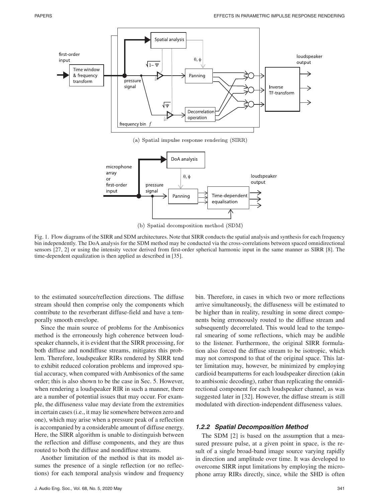

(b) Spatial decomposition method (SDM)

Fig. 1. Flow diagrams of the SIRR and SDM architectures. Note that SIRR conducts the spatial analysis and synthesis for each frequency bin independently. The DoA analysis for the SDM method may be conducted via the cross-correlations between spaced omnidirectional sensors [27, 2] or using the intensity vector derived from first-order spherical harmonic input in the same manner as SIRR [8]. The time-dependent equalization is then applied as described in [35].

to the estimated source/reflection directions. The diffuse stream should then comprise only the components which contribute to the reverberant diffuse-field and have a temporally smooth envelope.

Since the main source of problems for the Ambisonics method is the erroneously high coherence between loudspeaker channels, it is evident that the SIRR processing, for both diffuse and nondiffuse streams, mitigates this problem. Therefore, loudspeaker RIRs rendered by SIRR tend to exhibit reduced coloration problems and improved spatial accuracy, when compared with Ambisonics of the same order; this is also shown to be the case in Sec. 5. However, when rendering a loudspeaker RIR in such a manner, there are a number of potential issues that may occur. For example, the diffuseness value may deviate from the extremities in certain cases (i.e., it may lie somewhere between zero and one), which may arise when a pressure peak of a reflection is accompanied by a considerable amount of diffuse energy. Here, the SIRR algorithm is unable to distinguish between the reflection and diffuse components, and they are thus routed to both the diffuse and nondiffuse streams.

Another limitation of the method is that its model assumes the presence of a single reflection (or no reflections) for each temporal analysis window and frequency bin. Therefore, in cases in which two or more reflections arrive simultaneously, the diffuseness will be estimated to be higher than in reality, resulting in some direct components being erroneously routed to the diffuse stream and subsequently decorrelated. This would lead to the temporal smearing of some reflections, which may be audible to the listener. Furthermore, the original SIRR formulation also forced the diffuse stream to be isotropic, which may not correspond to that of the original space. This latter limitation may, however, be minimized by employing cardioid beampatterns for each loudspeaker direction (akin to ambisonic decoding), rather than replicating the omnidirectional component for each loudspeaker channel, as was suggested later in [32]. However, the diffuse stream is still modulated with direction-independent diffuseness values.

#### *1.2.2 Spatial Decomposition Method*

The SDM [2] is based on the assumption that a measured pressure pulse, at a given point in space, is the result of a single broad-band image source varying rapidly in direction and amplitude over time. It was developed to overcome SIRR input limitations by employing the microphone array RIRs directly, since, while the SHD is often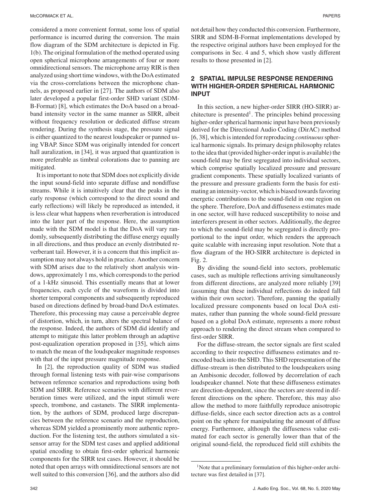considered a more convenient format, some loss of spatial performance is incurred during the conversion. The main flow diagram of the SDM architecture is depicted in Fig. 1(b). The original formulation of the method operated using open spherical microphone arrangements of four or more omnidirectional sensors. The microphone array RIR is then analyzed using short time windows, with the DoA estimated via the cross-correlations between the microphone channels, as proposed earlier in [27]. The authors of SDM also later developed a popular first-order SHD variant (SDM-B-Format) [8], which estimates the DoA based on a broadband intensity vector in the same manner as SIRR, albeit without frequency resolution or dedicated diffuse stream rendering. During the synthesis stage, the pressure signal is either quantized to the nearest loudspeaker or panned using VBAP. Since SDM was originally intended for concert hall auralization, in [34], it was argued that quantization is more preferable as timbral colorations due to panning are mitigated.

It is important to note that SDM does not explicitly divide the input sound-field into separate diffuse and nondiffuse streams. While it is intuitively clear that the peaks in the early response (which correspond to the direct sound and early reflections) will likely be reproduced as intended, it is less clear what happens when reverberation is introduced into the later part of the response. Here, the assumption made with the SDM model is that the DoA will vary randomly, subsequently distributing the diffuse energy equally in all directions, and thus produce an evenly distributed reverberant tail. However, it is a concern that this implicit assumption may not always hold in practice. Another concern with SDM arises due to the relatively short analysis windows, approximately 1 ms, which corresponds to the period of a 1-kHz sinusoid. This essentially means that at lower frequencies, each cycle of the waveform is divided into shorter temporal components and subsequently reproduced based on directions defined by broad-band DoA estimates. Therefore, this processing may cause a perceivable degree of distortion, which, in turn, alters the spectral balance of the response. Indeed, the authors of SDM did identify and attempt to mitigate this latter problem through an adaptive post-equalization operation proposed in [35], which aims to match the mean of the loudspeaker magnitude responses with that of the input pressure magnitude response.

In [2], the reproduction quality of SDM was studied through formal listening tests with pair-wise comparisons between reference scenarios and reproductions using both SDM and SIRR. Reference scenarios with different reverberation times were utilized, and the input stimuli were speech, trombone, and castanets. The SIRR implementation, by the authors of SDM, produced large discrepancies between the reference scenario and the reproduction, whereas SDM yielded a prominently more authentic reproduction. For the listening test, the authors simulated a sixsensor array for the SDM test cases and applied additional spatial encoding to obtain first-order spherical harmonic components for the SIRR test cases. However, it should be noted that open arrays with omnidirectional sensors are not well suited to this conversion [36], and the authors also did not detail how they conducted this conversion. Furthermore, SIRR and SDM-B-Format implementations developed by the respective original authors have been employed for the comparisons in Sec. 4 and 5, which show vastly different results to those presented in [2].

## **2 SPATIAL IMPULSE RESPONSE RENDERING WITH HIGHER-ORDER SPHERICAL HARMONIC INPUT**

In this section, a new higher-order SIRR (HO-SIRR) architecture is presented<sup>1</sup>. The principles behind processing higher-order spherical harmonic input have been previously derived for the Directional Audio Coding (DirAC) method [6, 38], which is intended for reproducing *continuous*spherical harmonic signals. Its primary design philosophy relates to the idea that (provided higher-order input is available) the sound-field may be first segregated into individual sectors, which comprise spatially localized pressure and pressure gradient components. These spatially localized variants of the pressure and pressure gradients form the basis for estimating an intensity-vector, which is biased towards favoring energetic contributions to the sound-field in one region on the sphere. Therefore, DoA and diffuseness estimates made in one sector, will have reduced susceptibility to noise and interferers present in other sectors. Additionally, the degree to which the sound-field may be segregated is directly proportional to the input order, which renders the approach quite scalable with increasing input resolution. Note that a flow diagram of the HO-SIRR architecture is depicted in Fig. 2.

By dividing the sound-field into sectors, problematic cases, such as multiple reflections arriving simultaneously from different directions, are analyzed more reliably [39] (assuming that these individual reflections do indeed fall within their own sector). Therefore, panning the spatially localized pressure components based on local DoA estimates, rather than panning the whole sound-field pressure based on a global DoA estimate, represents a more robust approach to rendering the direct stream when compared to first-order SIRR.

For the diffuse-stream, the sector signals are first scaled according to their respective diffuseness estimates and reencoded back into the SHD. This SHD representation of the diffuse-stream is then distributed to the loudspeakers using an Ambisonic decoder, followed by decorrelation of each loudspeaker channel. Note that these diffuseness estimates are direction-dependent, since the sectors are steered in different directions on the sphere. Therefore, this may also allow the method to more faithfully reproduce anisotropic diffuse-fields, since each sector direction acts as a control point on the sphere for manipulating the amount of diffuse energy. Furthermore, although the diffuseness value estimated for each sector is generally lower than that of the original sound-field, the reproduced field still exhibits the

<sup>&</sup>lt;sup>1</sup>Note that a preliminary formulation of this higher-order architecture was first detailed in [37].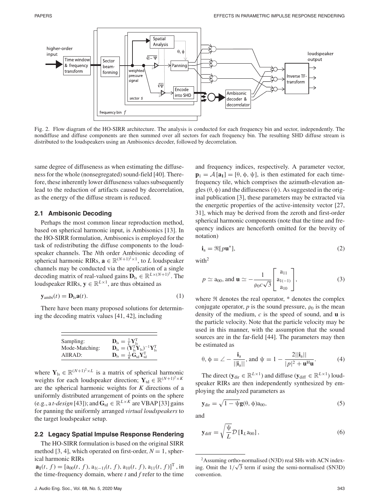

Fig. 2. Flow diagram of the HO-SIRR architecture. The analysis is conducted for each frequency bin and sector, independently. The nondiffuse and diffuse components are then summed over all sectors for each frequency bin. The resulting SHD diffuse stream is distributed to the loudspeakers using an Ambisonics decoder, followed by decorrelation.

same degree of diffuseness as when estimating the diffuseness for the whole (nonsegregated) sound-field [40]. Therefore, these inherently lower diffuseness values subsequently lead to the reduction of artifacts caused by decorrelation, as the energy of the diffuse stream is reduced.

#### **2.1 Ambisonic Decoding**

Perhaps the most common linear reproduction method, based on spherical harmonic input, is Ambisonics [13]. In the HO-SIRR formulation, Ambisonics is employed for the task of redistributing the diffuse components to the loudspeaker channels. The *N*th order Ambisonic decoding of spherical harmonic RIRs,  $\mathbf{a} \in \mathbb{R}^{(N+1)^2 \times 1}$ , to *L* loudspeaker channels may be conducted via the application of a single decoding matrix of real-valued gains  $\mathbf{D}_{\text{ls}} \in \mathbb{R}^{L \times (N+1)^2}$ . The loudspeaker RIRs,  $y \in \mathbb{R}^{L \times 1}$ , are thus obtained as

$$
\mathbf{y}_{\text{ambi}}(t) = \mathbf{D}_{\text{ls}}\mathbf{a}(t). \tag{1}
$$

There have been many proposed solutions for determining the decoding matrix values [41, 42], including

| Sampling:      | $\mathbf{D}_{\text{ls}} = \frac{1}{L} \mathbf{Y}_{\text{ls}}^{\text{T}}$                                                   |
|----------------|----------------------------------------------------------------------------------------------------------------------------|
| Mode-Matching: | $\mathbf{D}_{\text{ls}} = (\mathbf{\tilde{Y}}_{\text{ls}}^T \mathbf{\tilde{Y}}_{\text{ls}})^{-1} \mathbf{Y}_{\text{ls}}^T$ |
| AllRAD:        | $\mathbf{D}_{\text{ls}} = \frac{1}{K} \tilde{\mathbf{G}}_{\text{td}} \mathbf{Y}_{\text{td}}^{\text{T}}$                    |

where  $Y_{ls} \in \mathbb{R}^{(N+1)^2 \times L}$  is a matrix of spherical harmonic weights for each loudspeaker direction;  $Y_{td} \in \mathbb{R}^{(N+1)^2 \times K}$ are the spherical harmonic weights for *K* directions of a uniformly distributed arrangement of points on the sphere (e.g., a *t-design* [43]); and  $\mathbf{G}_{\text{td}} \in \mathbb{R}^{L \times K}$  are VBAP [33] gains for panning the uniformly arranged *virtual loudspeakers* to the target loudspeaker setup.

#### **2.2 Legacy Spatial Impulse Response Rendering**

The HO-SIRR formulation is based on the original SIRR method [3, 4], which operated on first-order,  $N = 1$ , spherical harmonic RIRs

 $\mathbf{a}_1(t, f) = [a_{00}(t, f), a_{1(-1)}(t, f), a_{10}(t, f), a_{11}(t, f)]^T$ , in the time-frequency domain, where *t* and *f* refer to the time

and frequency indices, respectively. A parameter vector,  $\mathbf{p}_1 = A [\mathbf{a}_1] = [\theta, \phi, \psi]$ , is then estimated for each timefrequency tile, which comprises the azimuth-elevation angles  $(\theta, \phi)$  and the diffuseness  $(\psi)$ . As suggested in the original publication [3], these parameters may be extracted via the energetic properties of the active-intensity vector [27, 31], which may be derived from the zeroth and first-order spherical harmonic components (note that the time and frequency indices are henceforth omitted for the brevity of notation)

$$
\mathbf{i}_a = \Re[p\mathbf{u}^*],\tag{2}
$$

with $^2$ 

$$
p \simeq a_{00}
$$
, and  $\mathbf{u} \simeq -\frac{1}{\rho_0 c \sqrt{3}} \begin{bmatrix} a_{11} \\ a_{1(-1)} \\ a_{10} \end{bmatrix}$ , (3)

where  $\Re$  denotes the real operator,  $*$  denotes the complex conjugate operator,  $p$  is the sound pressure,  $\rho_0$  is the mean density of the medium, *c* is the speed of sound, and **u** is the particle velocity. Note that the particle velocity may be used in this manner, with the assumption that the sound sources are in the far-field [44]. The parameters may then be estimated as

$$
\theta, \phi = \angle - \frac{\mathbf{i}_a}{||\mathbf{i}_a||}, \text{ and } \psi = 1 - \frac{2||\mathbf{i}_a||}{|p|^2 + \mathbf{u}^H \mathbf{u}}.
$$
 (4)

The direct ( $y_{dir} \in \mathbb{R}^{L \times 1}$ ) and diffuse ( $y_{diff} \in \mathbb{R}^{L \times 1}$ ) loudspeaker RIRs are then independently synthesized by employing the analyzed parameters as

$$
\mathbf{y}_{\text{dir}} = \sqrt{1 - \psi} \mathbf{g}(\theta, \phi) a_{00},\tag{5}
$$

and

$$
\mathbf{y}_{\text{diff}} = \sqrt{\frac{\Psi}{L}} \mathcal{D} \left[ \mathbf{1}_{L} \mathbf{a}_{00} \right],\tag{6}
$$

<sup>&</sup>lt;sup>2</sup>Assuming ortho-normalised (N3D) real SHs with ACN indexing. Omit the  $1/\sqrt{3}$  term if using the semi-normalised (SN3D) convention.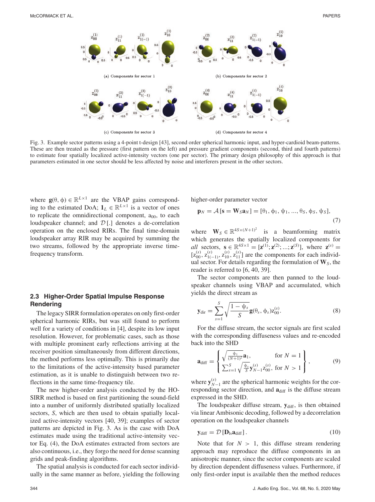

Fig. 3. Example sector patterns using a 4-point t-design [43], second order spherical harmonic input, and hyper-cardioid beam-patterns. These are then treated as the pressure (first pattern on the left) and pressure gradient components (second, third and fourth patterns) to estimate four spatially localized active-intensity vectors (one per sector). The primary design philosophy of this approach is that parameters estimated in one sector should be less affected by noise and interferers present in the other sectors.

where  $\mathbf{g}(\theta, \phi) \in \mathbb{R}^{L \times 1}$  are the VBAP gains corresponding to the estimated DoA;  $\mathbf{1}_L \in \mathbb{R}^{L \times 1}$  is a vector of ones to replicate the omnidirectional component,  $a_{00}$ , to each loudspeaker channel; and  $D$ [.] denotes a de-correlation operation on the enclosed RIRs. The final time-domain loudspeaker array RIR may be acquired by summing the two streams, followed by the appropriate inverse timefrequency transform.

## **2.3 Higher-Order Spatial Impulse Response Rendering**

The legacy SIRR formulation operates on only first-order spherical harmonic RIRs, but was still found to perform well for a variety of conditions in [4], despite its low input resolution. However, for problematic cases, such as those with multiple prominent early reflections arriving at the receiver position simultaneously from different directions, the method performs less optimally. This is primarily due to the limitations of the active-intensity based parameter estimation, as it is unable to distinguish between two reflections in the same time-frequency tile.

The new higher-order analysis conducted by the HO-SIRR method is based on first partitioning the sound-field into a number of uniformly distributed spatially localized sectors, *S*, which are then used to obtain spatially localized active-intensity vectors [40, 39]; examples of sector patterns are depicted in Fig. 3. As is the case with DoA estimates made using the traditional active-intensity vector Eq. (4), the DoA estimates extracted from sectors are also continuous, i.e., they forgo the need for dense scanning grids and peak-finding algorithms.

The spatial analysis is conducted for each sector individually in the same manner as before, yielding the following higher-order parameter vector

$$
\mathbf{p}_N = \mathcal{A}\left[\mathbf{s} = \mathbf{W}_S \mathbf{a}_N\right] = \left[\theta_1, \phi_1, \psi_1, ..., \theta_S, \phi_S, \psi_S\right],\tag{7}
$$

where  $\mathbf{W}_S \in \mathbb{R}^{4S \times (N+1)^2}$  is a beamforming matrix which generates the spatially localized components for *all* sectors,  $\mathbf{s} \in \mathbb{R}^{4S \times 1} = [\mathbf{z}^{(1)}; \mathbf{z}^{(2)}; ...; \mathbf{z}^{(S)}],$  where  $\mathbf{z}^{(s)} =$  $[z_{00}^{(s)}, z_{1(-1)}^{(s)}, z_{10}^{(s)}, z_{11}^{(s)}]$  are the components for each individual sector. For details regarding the formulation of **W***S*, the reader is referred to [6, 40, 39].

The sector components are then panned to the loudspeaker channels using VBAP and accumulated, which yields the direct stream as

$$
\mathbf{y}_{\text{dir}} = \sum_{s=1}^{S} \sqrt{\frac{1 - \psi_s}{S}} \mathbf{g}(\theta_s, \phi_s) z_{00}^{(s)}.
$$
 (8)

For the diffuse stream, the sector signals are first scaled with the corresponding diffuseness values and re-encoded back into the SHD

$$
\mathbf{a}_{\text{diff}} = \begin{cases} \sqrt{\frac{\psi_1}{(N+1)^2}} \mathbf{a}_1, & \text{for } N = 1\\ \sum_{s=1}^S \sqrt{\frac{\psi_s}{S}} \mathbf{y}_{N-1}^{(s)} \mathbf{z}_{00}^{(s)}, & \text{for } N > 1 \end{cases}, \tag{9}
$$

where  $\mathbf{y}_{N-1}^{(s)}$  are the spherical harmonic weights for the corresponding sector direction, and  $\mathbf{a}_{diff}$  is the diffuse stream expressed in the SHD.

The loudspeaker diffuse stream,  $y_{diff}$ , is then obtained via linear Ambisonic decoding, followed by a decorrelation operation on the loudspeaker channels

$$
\mathbf{y}_{\text{diff}} = \mathcal{D} \left[ \mathbf{D}_{\text{ls}} \mathbf{a}_{\text{diff}} \right]. \tag{10}
$$

Note that for  $N > 1$ , this diffuse stream rendering approach may reproduce the diffuse components in an anisotropic manner, since the sector components are scaled by direction dependent diffuseness values. Furthermore, if only first-order input is available then the method reduces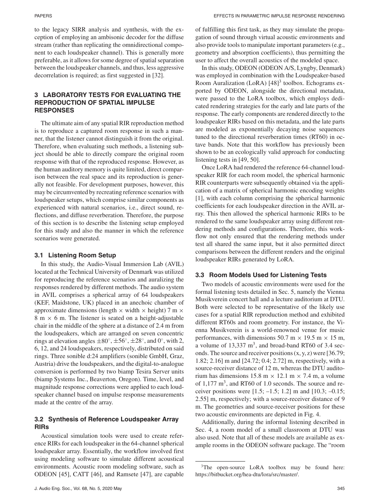to the legacy SIRR analysis and synthesis, with the exception of employing an ambisonic decoder for the diffuse stream (rather than replicating the omnidirectional component to each loudspeaker channel). This is generally more preferable, as it allows for some degree of spatial separation between the loudspeaker channels, and thus, less aggressive decorrelation is required; as first suggested in [32].

## **3 LABORATORY TESTS FOR EVALUATING THE REPRODUCTION OF SPATIAL IMPULSE RESPONSES**

The ultimate aim of any spatial RIR reproduction method is to reproduce a captured room response in such a manner, that the listener cannot distinguish it from the original. Therefore, when evaluating such methods, a listening subject should be able to directly compare the original room response with that of the reproduced response. However, as the human auditory memory is quite limited, direct comparison between the real space and its reproduction is generally not feasible. For development purposes, however, this may be circumvented by recreating reference scenarios with loudspeaker setups, which comprise similar components as experienced with natural scenarios, i.e., direct sound, reflections, and diffuse reverberation. Therefore, the purpose of this section is to describe the listening setup employed for this study and also the manner in which the reference scenarios were generated.

#### **3.1 Listening Room Setup**

In this study, the Audio-Visual Immersion Lab (AVIL) located at the Technical University of Denmark was utilized for reproducing the reference scenarios and auralizing the responses rendered by different methods. The audio system in AVIL comprises a spherical array of 64 loudspeakers (KEF, Maidstone, UK) placed in an anechoic chamber of approximate dimensions (length  $\times$  width  $\times$  height) 7 m  $\times$ 8 m  $\times$  6 m. The listener is seated on a height-adjustable chair in the middle of the sphere at a distance of 2.4 m from the loudspeakers, which are arranged on seven concentric rings at elevation angles  $\pm 80^\circ$ ,  $\pm 56^\circ$ ,  $\pm 28^\circ$ , and 0°, with 2, 6, 12, and 24 loudspeakers, respectively, distributed on said rings. Three sonible d:24 amplifiers (sonible GmbH, Graz, Austria) drive the loudspeakers, and the digital-to-analogue conversion is performed by two biamp Tesira Server units (biamp Systems Inc., Beaverton, Oregon). Time, level, and magnitude response corrections were applied to each loudspeaker channel based on impulse response measurements made at the centre of the array.

## **3.2 Synthesis of Reference Loudspeaker Array RIRs**

Acoustical simulation tools were used to create reference RIRs for each loudspeaker in the 64-channel spherical loudspeaker array. Essentially, the workflow involved first using modeling software to simulate different acoustical environments. Acoustic room modeling software, such as ODEON [45], CATT [46], and Ramsete [47], are capable of fulfilling this first task, as they may simulate the propagation of sound through virtual acoustic environments and also provide tools to manipulate important parameters (e.g., geometry and absorption coefficients), thus permitting the user to affect the overall acoustics of the modeled space.

In this study, ODEON (ODEON A/S, Lyngby, Denmark) was employed in combination with the Loudspeaker-based Room Auralization (LoRA)  $[48]$ <sup>3</sup> toolbox. Echograms exported by ODEON, alongside the directional metadata, were passed to the LoRA toolbox, which employs dedicated rendering strategies for the early and late parts of the response. The early components are rendered directly to the loudspeaker RIRs based on this metadata, and the late parts are modeled as exponentially decaying noise sequences tuned to the directional reverberation times (RT60) in octave bands. Note that this workflow has previously been shown to be an ecologically valid approach for conducting listening tests in [49, 50].

Once LoRA had rendered the reference 64-channel loudspeaker RIR for each room model, the spherical harmonic RIR counterparts were subsequently obtained via the application of a matrix of spherical harmonic encoding weights [1], with each column comprising the spherical harmonic coefficients for each loudspeaker direction in the AVIL array. This then allowed the spherical harmonic RIRs to be rendered to the same loudspeaker array using different rendering methods and configurations. Therefore, this workflow not only ensured that the rendering methods under test all shared the same input, but it also permitted direct comparisons between the different renders and the original loudspeaker RIRs generated by LoRA.

## **3.3 Room Models Used for Listening Tests**

Two models of acoustic environments were used for the formal listening tests detailed in Sec. 5, namely the Vienna Musikverein concert hall and a lecture auditorium at DTU. Both were selected to be representative of the likely use cases for a spatial RIR reproduction method and exhibited different RT60s and room geometry. For instance, the Vienna Musikverein is a world-renowned venue for music performances, with dimensions 50.7 m  $\times$  19.5 m  $\times$  15 m, a volume of  $13,337 \text{ m}^3$ , and broad-band RT60 of 3.4 seconds. The source and receiver positions (x, y, z) were [36.79; 1.82; 2.16] m and [24.72; 0.4; 2.72] m, respectively, with a source-receiver distance of 12 m, whereas the DTU auditorium has dimensions  $15.8 \text{ m} \times 12.1 \text{ m} \times 7.4 \text{ m}$ , a volume of  $1,177 \text{ m}^3$ , and RT60 of 1.0 seconds. The source and receiver positions were  $[1.5; -1.5; 1.2]$  m and  $[10.3; -0.15;$ 2.55] m, respectively; with a source-receiver distance of 9 m. The geometries and source-receiver positions for these two acoustic environments are depicted in Fig. 4.

Additionally, during the informal listening described in Sec. 4, a room model of a small classroom at DTU was also used. Note that all of these models are available as example rooms in the ODEON software package. The "room

<sup>&</sup>lt;sup>3</sup>The open-source LoRA toolbox may be found here: https://bitbucket.org/hea-dtu/lora/src/master/.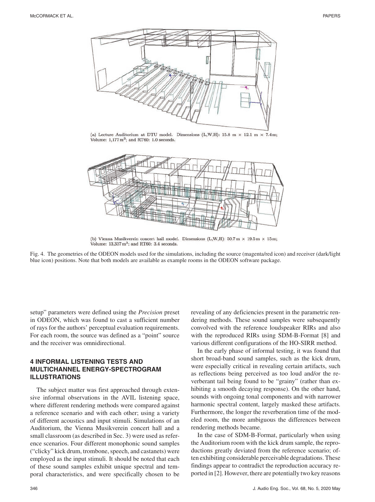

(a) Lecture Auditorium at DTU model. Dimensions (L,W,H): 15.8 m  $\times$  12.1 m  $\times$  7.4 m; Volume:  $1,177 \text{ m}^3$ ; and RT60: 1.0 seconds.



(b) Vienna Musikverein concert hall model. Dimensions (L,W,H):  $50.7 \text{ m} \times 19.5 \text{ m} \times 15 \text{ m}$ ; Volume:  $13,337 \text{ m}^3$ ; and RT60: 3.4 seconds.

Fig. 4. The geometries of the ODEON models used for the simulations, including the source (magenta/red icon) and receiver (dark/light blue icon) positions. Note that both models are available as example rooms in the ODEON software package.

setup" parameters were defined using the *Precision* preset in ODEON, which was found to cast a sufficient number of rays for the authors' perceptual evaluation requirements. For each room, the source was defined as a "point" source and the receiver was omnidirectional.

## **4 INFORMAL LISTENING TESTS AND MULTICHANNEL ENERGY-SPECTROGRAM ILLUSTRATIONS**

The subject matter was first approached through extensive informal observations in the AVIL listening space, where different rendering methods were compared against a reference scenario and with each other; using a variety of different acoustics and input stimuli. Simulations of an Auditorium, the Vienna Musikverein concert hall and a small classroom (as described in Sec. 3) were used as reference scenarios. Four different monophonic sound samples ("clicky" kick drum, trombone, speech, and castanets) were employed as the input stimuli. It should be noted that each of these sound samples exhibit unique spectral and temporal characteristics, and were specifically chosen to be revealing of any deficiencies present in the parametric rendering methods. These sound samples were subsequently convolved with the reference loudspeaker RIRs and also with the reproduced RIRs using SDM-B-Format [8] and various different configurations of the HO-SIRR method.

In the early phase of informal testing, it was found that short broad-band sound samples, such as the kick drum, were especially critical in revealing certain artifacts, such as reflections being perceived as too loud and/or the reverberant tail being found to be "grainy" (rather than exhibiting a smooth decaying response). On the other hand, sounds with ongoing tonal components and with narrower harmonic spectral content, largely masked these artifacts. Furthermore, the longer the reverberation time of the modeled room, the more ambiguous the differences between rendering methods became.

In the case of SDM-B-Format, particularly when using the Auditorium room with the kick drum sample, the reproductions greatly deviated from the reference scenario; often exhibiting considerable perceivable degradations. These findings appear to contradict the reproduction accuracy reported in [2]. However, there are potentially two key reasons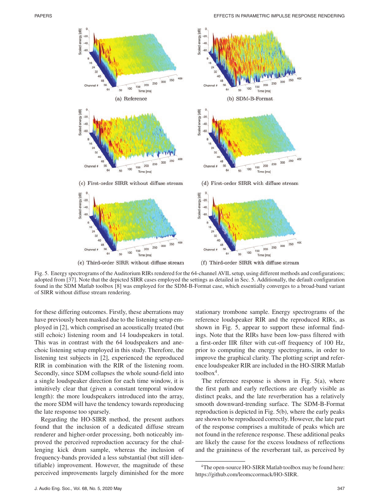

(e) Third-order SIRR without diffuse stream

(f) Third-order SIRR with diffuse stream

Fig. 5. Energy spectrograms of the Auditorium RIRs rendered for the 64-channel AVIL setup, using different methods and configurations; adopted from [37]. Note that the depicted SIRR cases employed the settings as detailed in Sec. 5. Additionally, the default configuration found in the SDM Matlab toolbox [8] was employed for the SDM-B-Format case, which essentially converges to a broad-band variant of SIRR without diffuse stream rendering.

for these differing outcomes. Firstly, these aberrations may have previously been masked due to the listening setup employed in [2], which comprised an acoustically treated (but still echoic) listening room and 14 loudspeakers in total. This was in contrast with the 64 loudspeakers and anechoic listening setup employed in this study. Therefore, the listening test subjects in [2], experienced the reproduced RIR in combination with the RIR of the listening room. Secondly, since SDM collapses the whole sound-field into a single loudspeaker direction for each time window, it is intuitively clear that (given a constant temporal window length): the more loudspeakers introduced into the array, the more SDM will have the tendency towards reproducing the late response too sparsely.

Regarding the HO-SIRR method, the present authors found that the inclusion of a dedicated diffuse stream renderer and higher-order processing, both noticeably improved the perceived reproduction accuracy for the challenging kick drum sample, whereas the inclusion of frequency-bands provided a less substantial (but still identifiable) improvement. However, the magnitude of these perceived improvements largely diminished for the more stationary trombone sample. Energy spectrograms of the reference loudspeaker RIR and the reproduced RIRs, as shown in Fig. 5, appear to support these informal findings. Note that the RIRs have been low-pass filtered with a first-order IIR filter with cut-off frequency of 100 Hz, prior to computing the energy spectrograms, in order to improve the graphical clarity. The plotting script and reference loudspeaker RIR are included in the HO-SIRR Matlab  $toolbox<sup>4</sup>$ .

The reference response is shown in Fig.  $5(a)$ , where the first path and early reflections are clearly visible as distinct peaks, and the late reverberation has a relatively smooth downward-trending surface. The SDM-B-Format reproduction is depicted in Fig. 5(b), where the early peaks are shown to be reproduced correctly. However, the late part of the response comprises a multitude of peaks which are not found in the reference response. These additional peaks are likely the cause for the excess loudness of reflections and the graininess of the reverberant tail, as perceived by

<sup>&</sup>lt;sup>4</sup>The open-source HO-SIRR Matlab toolbox may be found here: https://github.com/leomccormack/HO-SIRR.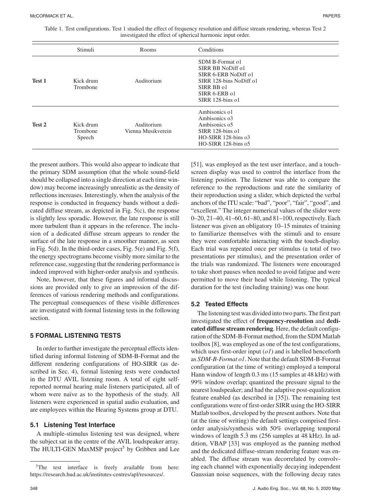| Table 1. Test configurations. Test 1 studied the effect of frequency resolution and diffuse stream rendering, whereas Test 2 |  |  |  |  |  |  |  |
|------------------------------------------------------------------------------------------------------------------------------|--|--|--|--|--|--|--|
| investigated the effect of spherical harmonic input order.                                                                   |  |  |  |  |  |  |  |

|        | Stimuli                         | Rooms                            | Conditions                                                                                                                                 |  |
|--------|---------------------------------|----------------------------------|--------------------------------------------------------------------------------------------------------------------------------------------|--|
| Test 1 | Kick drum<br>Trombone           | Auditorium                       | SDM B-Format o1<br>SIRR BB NoDiff o1<br>SIRR 6-ERB NoDiff o1<br>SIRR 128-bins NoDiff o1<br>SIRR BB o1<br>SIRR 6-ERB o1<br>SIRR 128-bins o1 |  |
| Test 2 | Kick drum<br>Trombone<br>Speech | Auditorium<br>Vienna Musikverein | Ambisonics of<br>Ambisonics o3<br>Ambisonics o5<br>SIRR 128-bins of<br>$HO-SIRR$ 128-bins $o3$<br>HO-SIRR 128-bins o5                      |  |

the present authors. This would also appear to indicate that the primary SDM assumption (that the whole sound-field should be collapsed into a single direction at each time window) may become increasingly unrealistic as the density of reflections increases. Interestingly, when the analysis of the response is conducted in frequency bands without a dedicated diffuse stream, as depicted in Fig. 5(c), the response is slightly less sporadic. However, the late response is still more turbulent than it appears in the reference. The inclusion of a dedicated diffuse stream appears to render the surface of the late response in a smoother manner, as seen in Fig. 5(d). In the third-order cases, Fig. 5(e) and Fig. 5(f), the energy spectrograms become visibly more similar to the reference case, suggesting that the rendering performance is indeed improved with higher-order analysis and synthesis.

Note, however, that these figures and informal discussions are provided only to give an impression of the differences of various rendering methods and configurations. The perceptual consequences of these visible differences are investigated with formal listening tests in the following section.

#### **5 FORMAL LISTENING TESTS**

In order to further investigate the perceptual effects identified during informal listening of SDM-B-Format and the different rendering configurations of HO-SIRR (as described in Sec. 4), formal listening tests were conducted in the DTU AVIL listening room. A total of eight selfreported normal hearing male listeners participated, all of whom were naïve as to the hypothesis of the study. All listeners were experienced in spatial audio evaluation, and are employees within the Hearing Systems group at DTU.

#### **5.1 Listening Test Interface**

A multiple-stimulus listening test was designed, where the subject sat in the centre of the AVIL loudspeaker array. The HULTI-GEN MaxMSP project<sup>5</sup> by Gribben and Lee [51], was employed as the test user interface, and a touchscreen display was used to control the interface from the listening position. The listener was able to compare the reference to the reproductions and rate the similarity of their reproduction using a slider, which depicted the verbal anchors of the ITU scale: "bad", "poor", "fair", "good", and "excellent." The integer numerical values of the slider were 0–20, 21–40, 41–60, 61–80, and 81–100, respectively. Each listener was given an obligatory 10–15 minutes of training to familiarize themselves with the stimuli and to ensure they were comfortable interacting with the touch-display. Each trial was repeated once per stimulus (a total of two presentations per stimulus), and the presentation order of the trials was randomized. The listeners were encouraged to take short pauses when needed to avoid fatigue and were permitted to move their head while listening. The typical duration for the test (including training) was one hour.

## **5.2 Tested Effects**

The listening test was divided into two parts. The first part investigated the effect of **frequency-resolution** and **dedicated diffuse stream rendering**. Here, the default configuration of the SDM-B-Format method, from the SDM Matlab toolbox [8], was employed as one of the test configurations, which uses first-order input (*o1*) and is labelled henceforth as *SDM-B-Format o1*. Note that the default SDM-B-Format configuration (at the time of writing) employed a temporal Hann window of length 0.3 ms (15 samples at 48 kHz) with 99% window overlap; quantized the pressure signal to the nearest loudspeaker; and had the adaptive post-equalization feature enabled (as described in [35]). The remaining test configurations were of first-order SIRR using the HO-SIRR Matlab toolbox, developed by the present authors. Note that (at the time of writing) the default settings comprised firstorder analysis/synthesis with 50% overlapping temporal windows of length  $5.3 \text{ ms}$  (256 samples at 48 kHz). In addition, VBAP [33] was employed as the panning method and the dedicated diffuse-stream rendering feature was enabled. The diffuse stream was decorrelated by convolving each channel with exponentially decaying independent Gaussian noise sequences, with the following decay rates

<sup>&</sup>lt;sup>5</sup>The test interface is freely available from here: https://research.hud.ac.uk/institutes-centres/apl/resources/.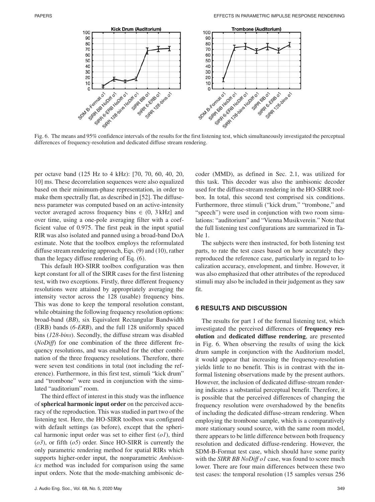

Fig. 6. The means and 95% confidence intervals of the results for the first listening test, which simultaneously investigated the perceptual differences of frequency-resolution and dedicated diffuse stream rendering.

per octave band (125 Hz to 4 kHz): [70, 70, 60, 40, 20, 10] ms. These decorrelation sequences were also equalized based on their minimum-phase representation, in order to make them spectrally flat, as described in [52]. The diffuseness parameter was computed based on an active-intensity vector averaged across frequency bins  $\in$  (0, 3 kHz) and over time, using a one-pole averaging filter with a coefficient value of 0.975. The first peak in the input spatial RIR was also isolated and panned using a broad-band DoA estimate. Note that the toolbox employs the reformulated diffuse stream rendering approach, Eqs. (9) and (10), rather than the legacy diffuse rendering of Eq. (6).

This default HO-SIRR toolbox configuration was then kept constant for all of the SIRR cases for the first listening test, with two exceptions. Firstly, three different frequency resolutions were attained by appropriately averaging the intensity vector across the 128 (usable) frequency bins. This was done to keep the temporal resolution constant, while obtaining the following frequency resolution options: broad-band (*BB*), six Equivalent Rectangular Bandwidth (ERB) bands (*6-ERB*), and the full 128 uniformly spaced bins (*128-bins*). Secondly, the diffuse stream was disabled (*NoDiff*) for one combination of the three different frequency resolutions, and was enabled for the other combination of the three frequency resolutions. Therefore, there were seven test conditions in total (not including the reference). Furthermore, in this first test, stimuli "kick drum" and "trombone" were used in conjunction with the simulated "auditorium" room.

The third effect of interest in this study was the influence of **spherical harmonic input order** on the perceived accuracy of the reproduction. This was studied in part two of the listening test. Here, the HO-SIRR toolbox was configured with default settings (as before), except that the spherical harmonic input order was set to either first (*o1*), third (*o3*), or fifth (*o5*) order. Since HO-SIRR is currently the only parametric rendering method for spatial RIRs which supports higher-order input, the nonparametric *Ambisonics* method was included for comparison using the same input orders. Note that the mode-matching ambisonic decoder (MMD), as defined in Sec. 2.1, was utilized for this task. This decoder was also the ambisonic decoder used for the diffuse-stream rendering in the HO-SIRR toolbox. In total, this second test comprised six conditions. Furthermore, three stimuli ("kick drum," "trombone," and "speech") were used in conjunction with two room simulations: "auditorium" and "Vienna Musikverein." Note that the full listening test configurations are summarized in Table 1.

The subjects were then instructed, for both listening test parts, to rate the test cases based on how accurately they reproduced the reference case, particularly in regard to localization accuracy, envelopment, and timbre. However, it was also emphasized that other attributes of the reproduced stimuli may also be included in their judgement as they saw fit.

#### **6 RESULTS AND DISCUSSION**

The results for part 1 of the formal listening test, which investigated the perceived differences of **frequency resolution** and **dedicated diffuse rendering**, are presented in Fig. 6. When observing the results of using the kick drum sample in conjunction with the Auditorium model, it would appear that increasing the frequency-resolution yields little to no benefit. This is in contrast with the informal listening observations made by the present authors. However, the inclusion of dedicated diffuse-stream rendering indicates a substantial perceptual benefit. Therefore, it is possible that the perceived differences of changing the frequency resolution were overshadowed by the benefits of including the dedicated diffuse-stream rendering. When employing the trombone sample, which is a comparatively more stationary sound source, with the same room model, there appears to be little difference between both frequency resolution and dedicated diffuse-rendering. However, the SDM-B-Format test case, which should have some parity with the *SIRR BB NoDiff o1* case, was found to score much lower. There are four main differences between these two test cases: the temporal resolution (15 samples versus 256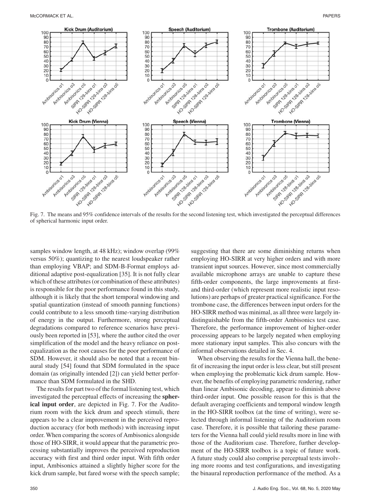

Fig. 7. The means and 95% confidence intervals of the results for the second listening test, which investigated the perceptual differences of spherical harmonic input order.

samples window length, at 48 kHz); window overlap (99% versus 50%); quantizing to the nearest loudspeaker rather than employing VBAP; and SDM-B-Format employs additional adaptive post-equalization [35]. It is not fully clear which of these attributes (or combination of these attributes) is responsible for the poor performance found in this study, although it is likely that the short temporal windowing and spatial quantization (instead of smooth panning functions) could contribute to a less smooth time-varying distribution of energy in the output. Furthermore, strong perceptual degradations compared to reference scenarios have previously been reported in [53], where the author cited the over simplification of the model and the heavy reliance on postequalization as the root causes for the poor performance of SDM. However, it should also be noted that a recent binaural study [54] found that SDM formulated in the space domain (as originally intended [2]) can yield better performance than SDM formulated in the SHD.

The results for part two of the formal listening test, which investigated the perceptual effects of increasing the **spherical input order**, are depicted in Fig. 7. For the Auditorium room with the kick drum and speech stimuli, there appears to be a clear improvement in the perceived reproduction accuracy (for both methods) with increasing input order. When comparing the scores of Ambisonics alongside those of HO-SIRR, it would appear that the parametric processing substantially improves the perceived reproduction accuracy with first and third order input. With fifth order input, Ambisonics attained a slightly higher score for the kick drum sample, but fared worse with the speech sample; suggesting that there are some diminishing returns when employing HO-SIRR at very higher orders and with more transient input sources. However, since most commercially available microphone arrays are unable to capture these fifth-order components, the large improvements at firstand third-order (which represent more realistic input resolutions) are perhaps of greater practical significance. For the trombone case, the differences between input orders for the HO-SIRR method was minimal, as all three were largely indistinguishable from the fifth-order Ambisonics test case. Therefore, the performance improvement of higher-order processing appears to be largely negated when employing more stationary input samples. This also concurs with the informal observations detailed in Sec. 4.

When observing the results for the Vienna hall, the benefit of increasing the input order is less clear, but still present when employing the problematic kick drum sample. However, the benefits of employing parametric rendering, rather than linear Ambisonic decoding, appear to diminish above third-order input. One possible reason for this is that the default averaging coefficients and temporal window length in the HO-SIRR toolbox (at the time of writing), were selected through informal listening of the Auditorium room case. Therefore, it is possible that tailoring these parameters for the Vienna hall could yield results more in line with those of the Auditorium case. Therefore, further development of the HO-SIRR toolbox is a topic of future work. A future study could also comprise perceptual tests involving more rooms and test configurations, and investigating the binaural reproduction performance of the method. As a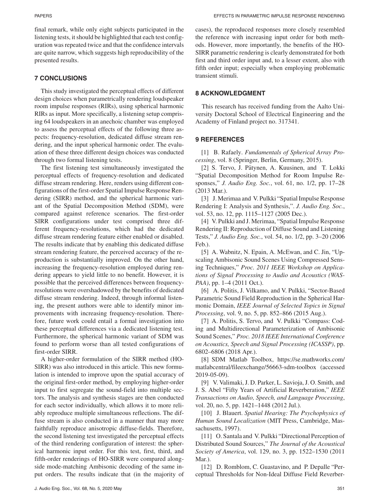final remark, while only eight subjects participated in the listening tests, it should be highlighted that each test configuration was repeated twice and that the confidence intervals are quite narrow, which suggests high reproducibility of the presented results.

## **7 CONCLUSIONS**

This study investigated the perceptual effects of different design choices when parametrically rendering loudspeaker room impulse responses (RIRs), using spherical harmonic RIRs as input. More specifically, a listening setup comprising 64 loudspeakers in an anechoic chamber was employed to assess the perceptual effects of the following three aspects: frequency-resolution, dedicated diffuse stream rendering, and the input spherical harmonic order. The evaluation of these three different design choices was conducted through two formal listening tests.

The first listening test simultaneously investigated the perceptual effects of frequency-resolution and dedicated diffuse stream rendering. Here, renders using different configurations of the first-order Spatial Impulse Response Rendering (SIRR) method, and the spherical harmonic variant of the Spatial Decomposition Method (SDM), were compared against reference scenarios. The first-order SIRR configurations under test comprised three different frequency-resolutions, which had the dedicated diffuse stream rendering feature either enabled or disabled. The results indicate that by enabling this dedicated diffuse stream rendering feature, the perceived accuracy of the reproduction is substantially improved. On the other hand, increasing the frequency-resolution employed during rendering appears to yield little to no benefit. However, it is possible that the perceived differences between frequencyresolutions were overshadowed by the benefits of dedicated diffuse stream rendering. Indeed, through informal listening, the present authors were able to identify minor improvements with increasing frequency-resolution. Therefore, future work could entail a formal investigation into these perceptual differences via a dedicated listening test. Furthermore, the spherical harmonic variant of SDM was found to perform worse than all tested configurations of first-order SIRR.

A higher-order formulation of the SIRR method (HO-SIRR) was also introduced in this article. This new formulation is intended to improve upon the spatial accuracy of the original first-order method, by employing higher-order input to first segregate the sound-field into multiple sectors. The analysis and synthesis stages are then conducted for each sector individually, which allows it to more reliably reproduce multiple simultaneous reflections. The diffuse stream is also conducted in a manner that may more faithfully reproduce anisotropic diffuse-fields. Therefore, the second listening test investigated the perceptual effects of the third rendering configuration of interest: the spherical harmonic input order. For this test, first, third, and fifth-order renderings of HO-SIRR were compared alongside mode-matching Ambisonic decoding of the same input orders. The results indicate that (in the majority of cases), the reproduced responses more closely resembled the reference with increasing input order for both methods. However, more importantly, the benefits of the HO-SIRR parametric rendering is clearly demonstrated for both first and third order input and, to a lesser extent, also with fifth order input; especially when employing problematic transient stimuli.

## **8 ACKNOWLEDGMENT**

This research has received funding from the Aalto University Doctoral School of Electrical Engineering and the Academy of Finland project no. 317341.

## **9 REFERENCES**

[1] B. Rafaely. *Fundamentals of Spherical Array Processing*, vol. 8 (Springer, Berlin, Germany, 2015).

[2] S. Tervo, J. Pätynen, A. Kuusinen, and T. Lokki "Spatial Decomposition Method for Room Impulse Responses," *J. Audio Eng. Soc.*, vol. 61, no. 1/2, pp. 17–28 (2013 Mar.).

[3] J. Merimaa and V. Pulkki "Spatial Impulse Response Rendering I: Analysis and Synthesis,". *J. Audio Eng. Soc.*, vol. 53, no. 12, pp. 1115–1127 (2005 Dec.).

[4] V. Pulkki and J. Merimaa, "Spatial Impulse Response Rendering II: Reproduction of Diffuse Sound and Listening Tests," *J. Audio Eng. Soc.*, vol. 54, no. 1/2, pp. 3–20 (2006 Feb.).

[5] A. Wabnitz, N. Epain, A. McEwan, and C. Jin, "Upscaling Ambisonic Sound Scenes Using Compressed Sensing Techniques," *Proc. 2011 IEEE Workshop on Applications of Signal Processing to Audio and Acoustics (WAS-PAA)*, pp. 1–4 (2011 Oct.).

[6] A. Politis, J. Vilkamo, and V. Pulkki, "Sector-Based Parametric Sound Field Reproduction in the Spherical Harmonic Domain, *IEEE Journal of Selected Topics in Signal Processing*, vol. 9, no. 5, pp. 852–866 (2015 Aug.).

[7] A. Politis, S. Tervo, and V. Pulkki "Compass: Coding and Multidirectional Parameterization of Ambisonic Sound Scenes," *Proc. 2018 IEEE International Conference on Acoustics, Speech and Signal Processing (ICASSP)*, pp. 6802–6806 (2018 Apr.).

[8] SDM Matlab Toolbox, https://se.mathworks.com/ matlabcentral/fileexchange/56663-sdm-toolbox (accessed 2019-05-09).

[9] V. Valimaki, J. D. Parker, L. Savioja, J. O. Smith, and J. S. Abel "Fifty Years of Artificial Reverberation," *IEEE Transactions on Audio, Speech, and Language Processing*, vol. 20, no. 5, pp. 1421–1448 (2012 Jul.).

[10] J. Blauert. *Spatial Hearing: The Psychophysics of Human Sound Localization* (MIT Press, Cambridge, Massachusetts, 1997).

[11] O. Santala and V. Pulkki "Directional Perception of Distributed Sound Sources," *The Journal of the Acoustical Society of America*, vol. 129, no. 3, pp. 1522–1530 (2011 Mar.).

[12] D. Romblom, C. Guastavino, and P. Depalle "Perceptual Thresholds for Non-Ideal Diffuse Field Reverber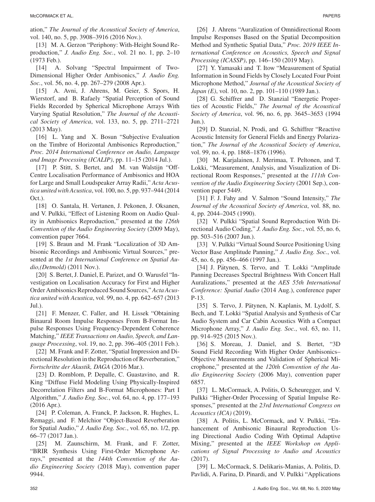ation," *The Journal of the Acoustical Society of America*, vol. 140, no. 5, pp. 3908–3916 (2016 Nov.).

[13] M. A. Gerzon "Periphony: With-Height Sound Reproduction," *J. Audio Eng. Soc.*, vol. 21 no. 1, pp. 2–10 (1973 Feb.).

[14] A. Solvang "Spectral Impairment of Two-Dimensional Higher Order Ambisonics," *J. Audio Eng. Soc.*, vol. 56, no. 4, pp. 267–279 (2008 Apr.).

[15] A. Avni, J. Ahrens, M. Geier, S. Spors, H. Wierstorf, and B. Rafaely "Spatial Perception of Sound Fields Recorded by Spherical Microphone Arrays With Varying Spatial Resolution," *The Journal of the Acoustical Society of America*, vol. 133, no. 5, pp. 2711–2721 (2013 May).

[16] L. Yang and X. Bosun "Subjective Evaluation on the Timbre of Horizontal Ambisonics Reproduction," *Proc. 2014 International Conference on Audio, Language and Image Processing (ICALIP)*, pp. 11–15 (2014 Jul.).

[17] P. Stitt, S. Bertet, and M. van Walstijn "Off-Centre Localisation Performance of Ambisonics and HOA for Large and Small Loudspeaker Array Radii," *Acta Acustica united with Acustica*, vol. 100, no. 5, pp. 937–944 (2014 Oct.).

[18] O. Santala, H. Vertanen, J. Pekonen, J. Oksanen, and V. Pulkki, "Effect of Listening Room on Audio Quality in Ambisonics Reproduction," presented at the *126th Convention of the Audio Engineering Society* (2009 May), convention paper 7664.

[19] S. Braun and M. Frank "Localization of 3D Ambisonic Recordings and Ambisonic Virtual Sources," presented at the *1st International Conference on Spatial Audio,(Detmold)* (2011 Nov.).

[20] S. Bertet, J. Daniel, E. Parizet, and O. Warusfel "Investigation on Localisation Accuracy for First and Higher Order Ambisonics Reproduced Sound Sources," *Acta Acustica united with Acustica*, vol. 99, no. 4, pp. 642–657 (2013 Jul.).

[21] F. Menzer, C. Faller, and H. Lissek "Obtaining Binaural Room Impulse Responses From B-Format Impulse Responses Using Frequency-Dependent Coherence Matching," *IEEE Transactions on Audio, Speech, and Language Processing*, vol. 19, no. 2, pp. 396–405 (2011 Feb.).

[22] M. Frank and F. Zotter, "Spatial Impression and Directional Resolution in the Reproduction of Reverberation," *Fortschritte der Akustik, DAGA* (2016 Mar.).

[23] D. Romblom, P. Depalle, C. Guastavino, and R. King "Diffuse Field Modeling Using Physically-Inspired Decorrelation Filters and B-Format Microphones: Part I Algorithm," *J. Audio Eng. Soc.*, vol. 64, no. 4, pp. 177–193 (2016 Apr.).

[24] P. Coleman, A. Franck, P. Jackson, R. Hughes, L. Remaggi, and F. Melchior "Object-Based Reverberation for Spatial Audio," *J. Audio Eng. Soc.*, vol. 65, no. 1/2, pp. 66–77 (2017 Jan.).

[25] M. Zaunschirm, M. Frank, and F. Zotter, "BRIR Synthesis Using First-Order Microphone Arrays," presented at the *144th Convention of the Audio Engineering Society* (2018 May), convention paper 9944.

[26] J. Ahrens "Auralization of Omnidirectional Room Impulse Responses Based on the Spatial Decomposition Method and Synthetic Spatial Data," *Proc. 2019 IEEE International Conference on Acoustics, Speech and Signal Processing (ICASSP)*, pp. 146–150 (2019 May).

[27] Y. Yamasaki and T. Itow "Measurement of Spatial Information in Sound Fields by Closely Located Four Point Microphone Method," *Journal of the Acoustical Society of Japan (E)*, vol. 10, no. 2, pp. 101–110 (1989 Jan.).

[28] G. Schiffrer and D. Stanzial "Energetic Properties of Acoustic Fields," *The Journal of the Acoustical Society of America*, vol. 96, no. 6, pp. 3645–3653 (1994 Jun.).

[29] D. Stanzial, N. Prodi, and G. Schiffrer "Reactive Acoustic Intensity for General Fields and Energy Polarization," *The Journal of the Acoustical Society of America*, vol. 99, no. 4, pp. 1868–1876 (1996).

[30] M. Karjalainen, J. Merimaa, T. Peltonen, and T. Lokki, "Measurement, Analysis, and Visualization of Directional Room Responses," presented at the *111th Convention of the Audio Engineering Society* (2001 Sep.), convention paper 5449.

[31] F. J. Fahy and V. Salmon "Sound Intensity," *The Journal of the Acoustical Society of America*, vol. 88, no. 4, pp. 2044–2045 (1990).

[32] V. Pulkki "Spatial Sound Reproduction With Directional Audio Coding," *J. Audio Eng. Soc.*, vol. 55, no. 6, pp. 503–516 (2007 Jun.).

[33] V. Pulkki "Virtual Sound Source Positioning Using Vector Base Amplitude Panning," *J. Audio Eng. Soc.*, vol. 45, no. 6, pp. 456–466 (1997 Jun.).

[34] J. Pätynen, S. Tervo, and T. Lokki "Amplitude Panning Decreases Spectral Brightness With Concert Hall Auralizations," presented at the *AES 55th International Conference: Spatial Audio* (2014 Aug.), conference paper P-13.

[35] S. Tervo, J. Pätynen, N. Kaplanis, M. Lydolf, S. Bech, and T. Lokki "Spatial Analysis and Synthesis of Car Audio System and Car Cabin Acoustics With a Compact Microphone Array," *J. Audio Eng. Soc.*, vol. 63, no. 11, pp. 914–925 (2015 Nov.).

[36] S. Moreau, J. Daniel, and S. Bertet, "3D Sound Field Recording With Higher Order Ambisonics– Objective Measurements and Validation of Spherical Microphone," presented at the *120th Convention of the Audio Engineering Society* (2006 May), convention paper 6857.

[37] L. McCormack, A. Politis, O. Scheuregger, and V. Pulkki "Higher-Order Processing of Spatial Impulse Responses," presented at the *23rd International Congress on Acoustics (ICA)* (2019).

[38] A. Politis, L. McCormack, and V. Pulkki, "Enhancement of Ambisonic Binaural Reproduction Using Directional Audio Coding With Optimal Adaptive Mixing," presented at the *IEEE Workshop on Applications of Signal Processing to Audio and Acoustics* (2017).

[39] L. McCormack, S. Delikaris-Manias, A. Politis, D. Pavlidi, A. Farina, D. Pinardi, and V. Pulkki "Applications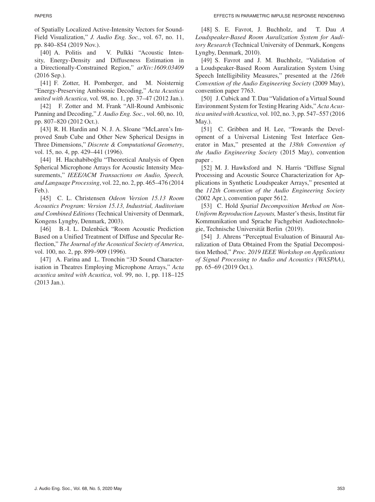of Spatially Localized Active-Intensity Vectors for Sound-Field Visualization," *J. Audio Eng. Soc.*, vol. 67, no. 11, pp. 840–854 (2019 Nov.).

[40] A. Politis and V. Pulkki "Acoustic Intensity, Energy-Density and Diffuseness Estimation in a Directionally-Constrained Region," *arXiv:1609.03409* (2016 Sep.).

[41] F. Zotter, H. Pomberger, and M. Noisternig "Energy-Preserving Ambisonic Decoding," *Acta Acustica united with Acustica*, vol. 98, no. 1, pp. 37–47 (2012 Jan.).

[42] F. Zotter and M. Frank "All-Round Ambisonic Panning and Decoding," *J. Audio Eng. Soc.*, vol. 60, no. 10, pp. 807–820 (2012 Oct.).

[43] R. H. Hardin and N. J. A. Sloane "McLaren's Improved Snub Cube and Other New Spherical Designs in Three Dimensions," *Discrete & Computational Geometry*, vol. 15, no. 4, pp. 429–441 (1996).

[44] H. Hacıhabiboğlu "Theoretical Analysis of Open Spherical Microphone Arrays for Acoustic Intensity Measurements," *IEEE/ACM Transactions on Audio, Speech, and Language Processing*, vol. 22, no. 2, pp. 465–476 (2014 Feb.).

[45] C. L. Christensen *Odeon Version 15.13 Room Acoustics Program: Version 15.13, Industrial, Auditorium and Combined Editions* (Technical University of Denmark, Kongens Lyngby, Denmark, 2003).

[46] B.-I. L. Dalenbäck "Room Acoustic Prediction Based on a Unified Treatment of Diffuse and Specular Reflection," *The Journal of the Acoustical Society of America*, vol. 100, no. 2, pp. 899–909 (1996).

[47] A. Farina and L. Tronchin "3D Sound Characterisation in Theatres Employing Microphone Arrays," *Acta acustica united with Acustica*, vol. 99, no. 1, pp. 118–125 (2013 Jan.).

[48] S. E. Favrot, J. Buchholz, and T. Dau *A Loudspeaker-Based Room Auralization System for Auditory Research* (Technical University of Denmark, Kongens Lyngby, Denmark, 2010).

[49] S. Favrot and J. M. Buchholz, "Validation of a Loudspeaker-Based Room Auralization System Using Speech Intelligibility Measures," presented at the *126th Convention of the Audio Engineering Society* (2009 May), convention paper 7763.

[50] J. Cubick and T. Dau "Validation of a Virtual Sound Environment System for Testing Hearing Aids," *Acta Acustica united with Acustica*, vol. 102, no. 3, pp. 547–557 (2016 May.).

[51] C. Gribben and H. Lee, "Towards the Development of a Universal Listening Test Interface Generator in Max," presented at the *138th Convention of the Audio Engineering Society* (2015 May), convention paper .

[52] M. J. Hawksford and N. Harris "Diffuse Signal Processing and Acoustic Source Characterization for Applications in Synthetic Loudspeaker Arrays," presented at the *112th Convention of the Audio Engineering Society* (2002 Apr.), convention paper 5612.

[53] C. Hold *Spatial Decomposition Method on Non-Uniform Reproduction Layouts, Master's thesis, Institut fur* Kommunikation und Sprache Fachgebiet Audiotechnologie, Technische Universität Berlin (2019).

[54] J. Ahrens "Perceptual Evaluation of Binaural Auralization of Data Obtained From the Spatial Decomposition Method," *Proc. 2019 IEEE Workshop on Applications of Signal Processing to Audio and Acoustics (WASPAA)*, pp. 65–69 (2019 Oct.).